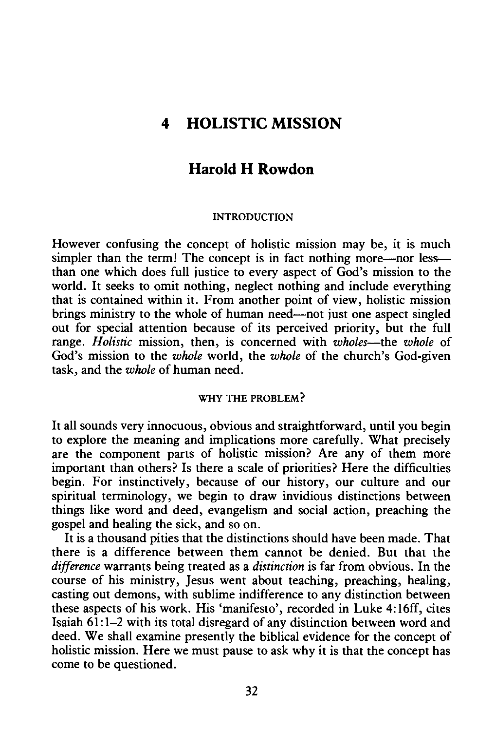# **4 HOLISTIC MISSION**

## **Harold H Rowdon**

#### INTRODUCTION

However confusing the concept of holistic mission may be, it is much simpler than the term! The concept is in fact nothing more—nor less than one which does full justice to every aspect of God's mission to the world. It seeks to omit nothing, neglect nothing and include everything that is contained within it. From another point of view, holistic mission brings ministry to the whole of human need—not just one aspect singled out for special attention because of its perceived priority, but the full range. *Holistic* mission, then, is concerned with *wholes*—the *whole* of God's mission to the *whole* world, the *whole* of the church's God-given task, and the *whole* of human need.

#### WHY THE PROBLEM?

It all sounds very innocuous, obvious and straightforward, until you begin to explore the meaning and implications more carefully. What precisely are the component parts of holistic mission? Are any of them more important than others? Is there a scale of priorities? Here the difficulties begin. For instinctively, because of our history, our culture and our spiritual terminology, we begin to draw invidious distinctions between things like word and deed, evangelism and social action, preaching the gospel and healing the sick, and so on.

It is a thousand pities that the distinctions should have been made. That there is a difference between them cannot be denied. But that the *difference* warrants being treated as a *distinction* is far from obvious. In the course of his ministry, Jesus went about teaching, preaching, healing, casting out demons, with sublime indifference to any distinction between these aspects of his work. His 'manifesto', recorded in Luke 4: 16ff, cites Isaiah 61:1-2 with its total disregard of any distinction between word and deed. We shall examine presently the biblical evidence for the concept of holistic mission. Here we must pause to ask why it is that the concept has come to be questioned.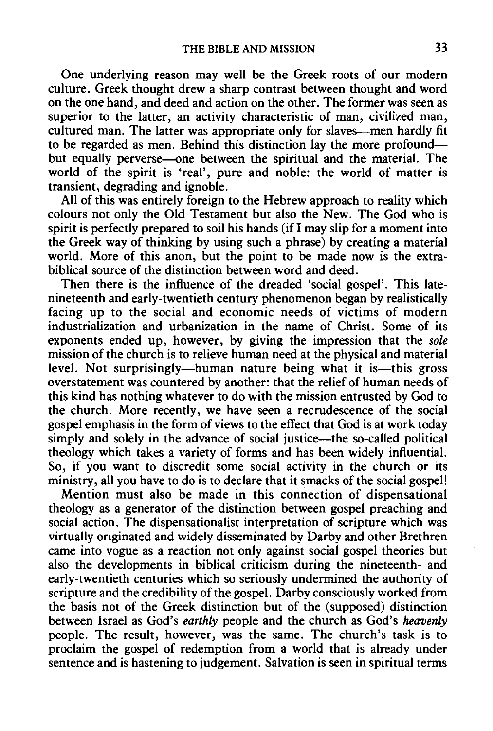One underlying reason may well be the Greek roots of our modern culture. Greek thought drew a sharp contrast between thought and word on the one hand, and deed and action on the other. The former was seen as superior to the latter, an activity characteristic of man, civilized man, cultured man. The latter was appropriate only for slaves-men hardly fit to be regarded as men. Behind this distinction lay the more profoundbut equally perverse—one between the spiritual and the material. The world of the spirit is 'real', pure and noble: the world of matter is transient, degrading and ignoble.

All of this was entirely foreign to the Hebrew approach to reality which colours not only the Old Testament but also the New. The God who is spirit is perfectly prepared to soil his hands (if I may slip for a moment into the Greek way of thinking by using such a phrase) by creating a material world. More of this anon, but the point to be made now is the extrabiblical source of the distinction between word and deed.

Then there is the influence of the dreaded 'social gospel'. This latenineteenth and early-twentieth century phenomenon began by realistically facing up to the social and economic needs of victims of modern industrialization and urbanization in the name of Christ. Some of its exponents ended up, however, by giving the impression that the *sole*  mission of the church is to relieve human need at the physical and material level. Not surprisingly—human nature being what it is—this gross overstatement was countered by another: that the relief of human needs of this kind has nothing whatever to do with the mission entrusted by God to the church. More recently, we have seen a recrudescence of the social gospel emphasis in the form of views to the effect that God is at work today simply and solely in the advance of social justice—the so-called political theology which takes a variety of forms and has been widely influential. So, if you want to discredit some social activity in the church or its ministry, all you have to do is to declare that it smacks of the social gospel!

Mention must also be made in this connection of dispensational theology as a generator of the distinction between gospel preaching and social action. The dispensationalist interpretation of scripture which was virtually originated and widely disseminated by Darby and other Brethren came into vogue as a reaction not only against social gospel theories but also the developments in biblical criticism during the nineteenth- and early-twentieth centuries which so seriously undermined the authority of scripture and the credibility of the gospel. Darby consciously worked from the basis not of the Greek distinction but of the (supposed) distinction between Israel as God's *earthly* people and the church as God's *heavenly*  people. The result, however, was the same. The church's task is to proclaim the gospel of redemption from a world that is already under sentence and is hastening to judgement. Salvation is seen in spiritual terms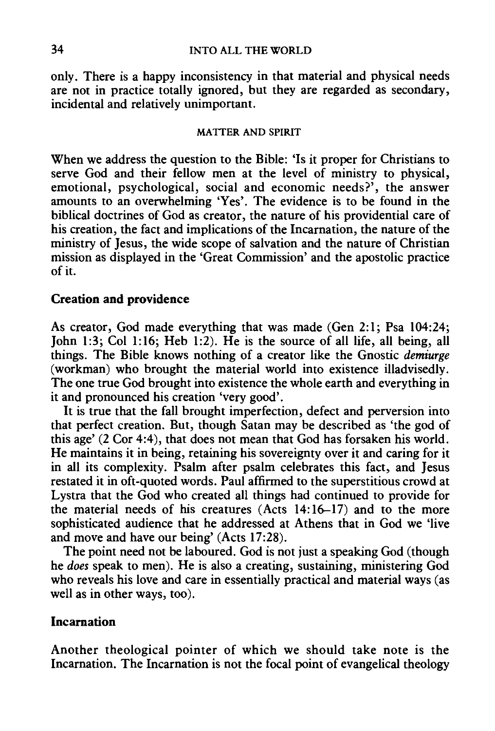### 34 INTO ALL THE WORLD

only. There is a happy inconsistency in that material and physical needs are not in practice totally ignored, but they are regarded as secondary, incidental and relatively unimportant.

#### MA TIER AND SPIRIT

When we address the question to the Bible: 'Is it proper for Christians to serve God and their fellow men at the level of ministry to physical, emotional, psychological, social and economic needs?', the answer amounts to an overwhelming 'Yes'. The evidence is to be found in the biblical doctrines of God as creator, the nature of his providential care of his creation, the fact and implications of the Incarnation, the nature of the ministry of Jesus, the wide scope of salvation and the nature of Christian mission as displayed in the 'Great Commission' and the apostolic practice of it.

#### **Creation and providence**

As creator, God made everything that was made (Gen 2:1; Psa 104:24; John 1:3; Col 1:16; Heb 1:2). He is the source of all life, all being, all things. The Bible knows nothing of a creator like the Gnostic *demiurge*  (workman) who brought the material world into existence illadvisedly. The one true God brought into existence the whole earth and everything in it and pronounced his creation 'very good'.

It is true that the fall brought imperfection, defect and perversion into that perfect creation. But, though Satan may be described as 'the god of this age' (2 Cor 4:4), that does not mean that God has forsaken his world. He maintains it in being, retaining his sovereignty over it and caring for it in all its complexity. Psalm after psalm celebrates this fact, and Jesus restated it in oft-quoted words. Paul affirmed to the superstitious crowd at Lystra that the God who created all things had continued to provide for the material needs of his creatures (Acts 14:16-17) and to the more sophisticated audience that he addressed at Athens that in God we 'live and move and have our being' (Acts 17:28).

The point need not be laboured. God is not just a speaking God (though he *does* speak to men). He is also a creating, sustaining, ministering God who reveals his love and care in essentially practical and material ways (as well as in other ways, too).

### **Incarnation**

Another theological pointer of which we should take note is the Incarnation. The Incarnation is not the focal point of evangelical theology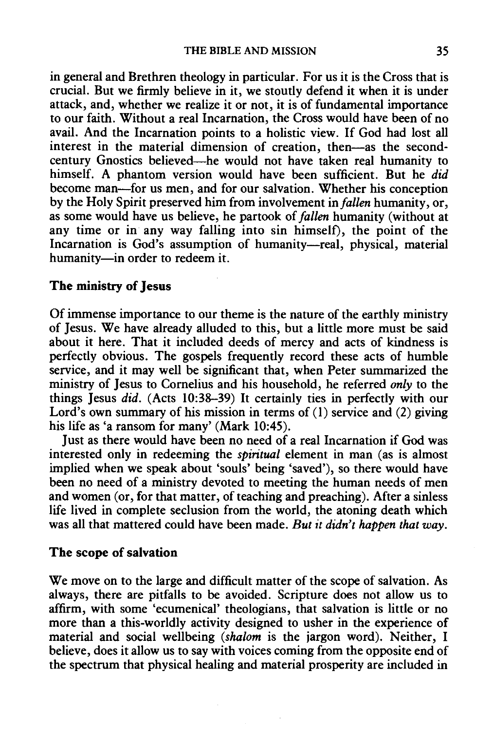in general and Brethren theology in particular. For us it is the Cross that is crucial. But we firmly believe in it, we stoutly defend it when it is under attack, and, whether we realize it or not, it is of fundamental importance to our faith. Without a real Incarnation, the Cross would have been of no avail. And the Incarnation points to a holistic view. If God had lost all interest in the material dimension of creation, then-as the secondcentury Gnostics believed-he would not have taken real humanity to himself. A phantom version would have been sufficient. But he *did*  become man-for us men, and for our salvation. Whether his conception by the Holy Spirit preserved him from involvement *infallen* humanity, or, as some would have us believe, he partook of *fallen* humanity (without at any time or in any way falling into sin himself), the point of the Incarnation is God's assumption of humanity-real, physical, material humanity-in order to redeem it.

### The ministry of Jesus

Of immense importance to our theme is the nature of the earthly ministry of Jesus. We have already alluded to this, but a little more must be said about it here. That it included deeds of mercy and acts of kindness is perfectly obvious. The gospels frequently record these acts of humble service, and it may well be significant that, when Peter summarized the ministry of Jesus to Cornelius and his household, he referred *only* to the things Jesus *did.* (Acts 10:38-39) It certainly ties in perfectly with our Lord's own summary of his mission in terms of (1) service and (2) giving his life as 'a ransom for many' (Mark 10:45).

Just as there would have been no need of a real Incarnation if God was interested only in redeeming the *spiritual* element in man (as is almost implied when we speak about 'souls' being 'saved'), so there would have been no need of a ministry devoted to meeting the human needs of men and women (or, for that matter, of teaching and preaching). After a sinless life lived in complete seclusion from the world, the atoning death which was all that mattered could have been made. *But it didn't happen that way.* 

### The scope of salvation

We move on to the large and difficult matter of the scope of salvation. As always, there are pitfalls to be avoided. Scripture does not allow us to affirm, with some 'ecumenical' theologians, that salvation is little or no more than a this-worldly activity designed to usher in the experience of material and social wellbeing *(shalom* is the jargon word). Neither, I believe, does it allow us to say with voices coming from the opposite end of the spectrum that physical healing and material prosperity are included in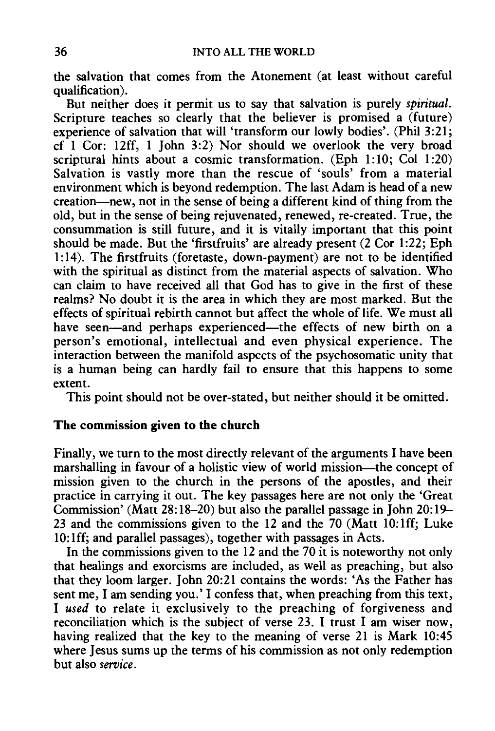the salvation that comes from the Atonement (at least without careful qualification).

But neither does it permit us to say that salvation is purely *spiritual.*  Scripture teaches so clearly that the believer is promised a (future) experience of salvation that will 'transform our lowly bodies'. (Phil 3:21; cf 1 Cor: 12ff, 1 John 3:2) Nor should we overlook the very broad scriptural hints about a cosmic transformation. (Eph 1:10; Col 1:20) Salvation is vastly more than the rescue of 'souls' from a material environment which is beyond redemption. The last Adam is head of a new creation-new, not in the sense of being a different kind of thing from the old, but in the sense of being rejuvenated, renewed, re-created. True, the consummation is still future, and it is vitally important that this point should be made. But the 'firstfruits' are already present (2 Cor 1:22; Eph 1:14). The firstfruits (foretaste, down-payment) are not to be identified with the spiritual as distinct from the material aspects of salvation. Who can claim to have received all that God has to give in the first of these realms? No doubt it is the area in which they are most marked. But the effects of spiritual rebirth cannot but affect the whole of life. We must all have seen-and perhaps experienced-the effects of new birth on a person's emotional, intellectual and even physical experience. The interaction between the manifold aspects of the psychosomatic unity that is a human being can hardly fail to ensure that this happens to some extent.

This point should not be over-stated, but neither should it be omitted.

### The commission given to the church

Finally, we turn to the most directly relevant of the arguments I have been marshalling in favour of a holistic view of world mission-the concept of mission given to the church in the persons of the apostles, and their practice in carrying it out. The key passages here are not only the 'Great Commission' (Matt 28:18-20) but also the parallel passage in John 20:19- 23 and the commissions given to the 12 and the 70 (Matt 10: lff; Luke 10: lff; and parallel passages), together with passages in Acts.

In the commissions given to the 12 and the 70 it is noteworthy not only that healings and exorcisms are included, as well as preaching, but also that they loom larger. John 20:21 contains the words: 'As the Father has sent me, I am sending you.' I confess that, when preaching from this text, I *used* to relate it exclusively to the preaching of forgiveness and reconciliation which is the subject of verse 23. I trust I am wiser now, having realized that the key to the meaning of verse 21 is Mark 10:45 where Jesus sums up the terms of his commission as not only redemption but also *service.*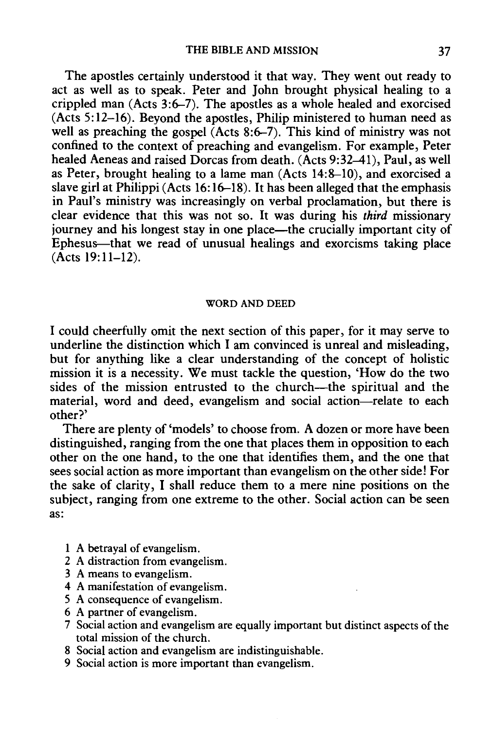The apostles certainly understood it that way. They went out ready to act as well as to speak. Peter and John brought physical healing to a crippled man (Acts 3:6-7). The apostles as a whole healed and exorcised (Acts 5:12-16). Beyond the apostles, Philip ministered to human need as well as preaching the gospel  $(Acts 8:6–7)$ . This kind of ministry was not confined to the context of preaching and evangelism. For example, Peter healed Aeneas and raised Dorcas from death. (Acts 9:32-41), Paul, as well as Peter, brought healing to a lame man (Acts 14:8-10), and exorcised a slave girl at Philippi (Acts 16: 16-18). It has been alleged that the emphasis in Paul's ministry was increasingly on verbal proclamation, but there is clear evidence that this was not so. It was during his *third* missionary journey and his longest stay in one place—the crucially important city of Ephesus--that we read of unusual healings and exorcisms taking place  $(Acts 19:11-12)$ .

#### WORD AND DEED

I could cheerfully omit the next section of this paper, for it may serve to underline the distinction which I am convinced is unreal and misleading, but for anything like a clear understanding of the concept of holistic mission it is a necessity. We must tackle the question, 'How do the two sides of the mission entrusted to the church—the spiritual and the material, word and deed, evangelism and social action-relate to each other?'

There are plenty of 'models' to choose from. A dozen or more have been distinguished, ranging from the one that places them in opposition to each other on the one hand, to the one that identifies them, and the one that sees social action as more important than evangelism on the other side! For the sake of clarity, I shall reduce them to a mere nine positions on the subject, ranging from one extreme to the other. Social action can be seen as:

- A betrayal of evangelism.
- 2 A distraction from evangelism.
- 3 A means to evangelism.
- 4 A manifestation of evangelism.
- 5 A consequence of evangelism.
- 6 A partner of evangelism.
- 7 Social action and evangelism are equally important but distinct aspects of the total mission of the church.
- 8 Social action and evangelism are indistinguishable.
- 9 Social action is more important than evangelism.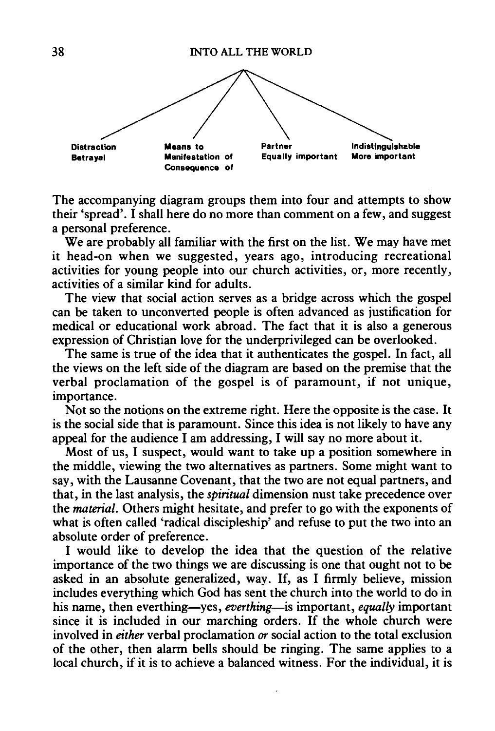

The accompanying diagram groups them into four and attempts to show their 'spread'. I shall here do no more than comment on a few, and suggest a personal preference.

We are probably all familiar with the first on the list. We may have met it head-on when we suggested, years ago, introducing recreational activities for young people into our church activities, or, more recently, activities of a similar kind for adults.

The view that social action serves as a bridge across which the gospel can be taken to unconverted people is often advanced as justification for medical or educational work abroad. The fact that it is also a generous expression of Christian love for the underprivileged can be overlooked.

The same is true of the idea that it authenticates the gospel. In fact, all the views on the left side of the diagram are based on the premise that the verbal proclamation of the gospel is of paramount, if not unique, importance.

Not so the notions on the extreme right. Here the opposite is the case. It is the social side that is paramount. Since this idea is not likely to have any appeal for the audience I am addressing, I will say no more about it.

Most of us, I suspect, would want to take up a position somewhere in the middle, viewing the two alternatives as partners. Some might want to say, with the Lausanne Covenant, that the two are not equal partners, and that, in the last analysis, the *spiritual* dimension nust take precedence over the *material.* Others might hesitate, and prefer to go with the exponents of what is often called 'radical discipleship' and refuse to put the two into an absolute order of preference.

I would like to develop the idea that the question of the relative importance of the two things we are discussing is one that ought not to be asked in an absolute generalized, way. If, as I firmly believe, mission includes everything which God has sent the church into the world to do in his name, then everthing-yes, *everthing*- is important, *equally* important since it is included in our marching orders. If the whole church were involved in *either* verbal proclamation *or* social action to the total exclusion of the other, then alarm bells should be ringing. The same applies to a local church, if it is to achieve a balanced witness. For the individual, it is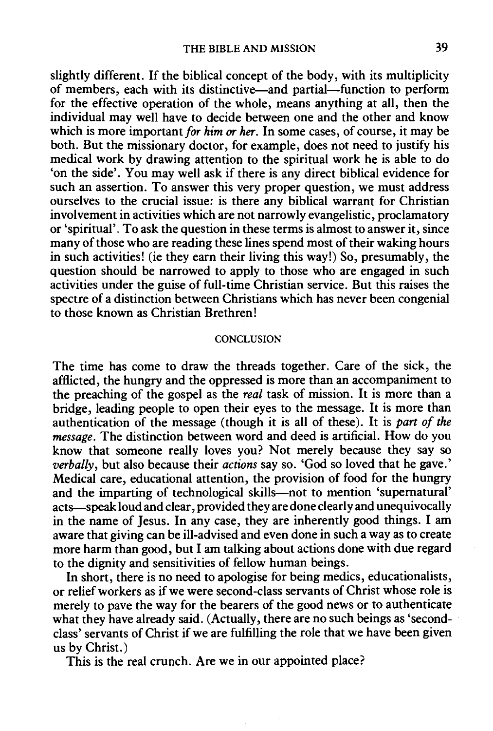slightly different. If the biblical concept of the body, with its multiplicity of members, each with its distinctive—and partial—function to perform for the effective operation of the whole, means anything at all, then the individual may well have to decide between one and the other and know which is more important *for him or her.* In some cases, of course, it may be both. But the missionary doctor, for example, does not need to justify his medical work by drawing attention to the spiritual work he is able to do 'on the side'. You may well ask if there is any direct biblical evidence for such an assertion. To answer this very proper question, we must address ourselves to the crucial issue: is there any biblical warrant for Christian involvement in activities which are not narrowly evangelistic, proclamatory or 'spiritual'. To ask the question in these terms is almost to answer it, since many of those who are reading these lines spend most of their waking hours in such activities! (ie they earn their living this way!) So, presumably, the question should be narrowed to apply to those who are engaged in such activities under the guise of full-time Christian service. But this raises the spectre of a distinction between Christians which has never been congenial to those known as Christian Brethren!

#### CONCLUSION

The time has come to draw the threads together. Care of the sick, the afflicted, the hungry and the oppressed is more than an accompaniment to the preaching of the gospel as the *real* task of mission. It is more than a bridge, leading people to open their eyes to the message. It is more than authentication of the message (though it is all of these). It is *part of the message.* The distinction between word and deed is artificial. How do you know that someone really loves you? Not merely because they say so *verbally,* but also because their *actions* say so. 'God so loved that he gave.' Medical care, educational attention, the provision of food for the hungry and the imparting of technological skills-not to mention 'supernatural' acts-speak loud and clear, provided they are done clearly and unequivocally in the name of Jesus. In any case, they are inherently good things. I am aware that giving can be ill-advised and even done in such a way as to create more harm than good, but I am talking about actions done with due regard to the dignity and sensitivities of fellow human beings.

In short, there is no need to apologise for being medics, educationalists, or relief workers as if we were second-class servants of Christ whose role is merely to pave the way for the bearers of the good news or to authenticate what they have already said. (Actually, there are no such beings as 'secondclass' servants of Christ if we are fulfilling the role that we have been given us by Christ.)

This is the real crunch. Are we in our appointed place?